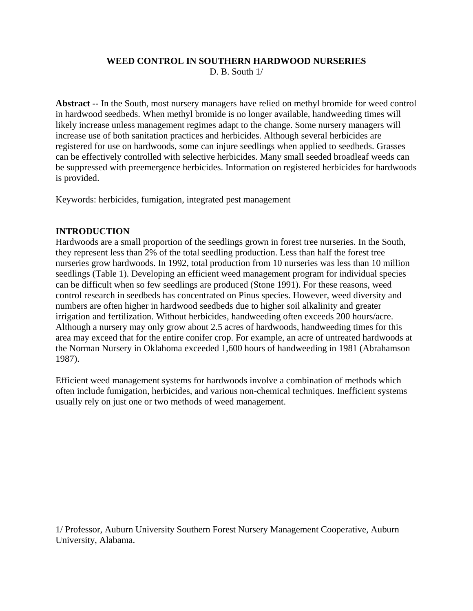# **WEED CONTROL IN SOUTHERN HARDWOOD NURSERIES**

D. B. South 1/

**Abstract** -- In the South, most nursery managers have relied on methyl bromide for weed control in hardwood seedbeds. When methyl bromide is no longer available, handweeding times will likely increase unless management regimes adapt to the change. Some nursery managers will increase use of both sanitation practices and herbicides. Although several herbicides are registered for use on hardwoods, some can injure seedlings when applied to seedbeds. Grasses can be effectively controlled with selective herbicides. Many small seeded broadleaf weeds can be suppressed with preemergence herbicides. Information on registered herbicides for hardwoods is provided.

Keywords: herbicides, fumigation, integrated pest management

## **INTRODUCTION**

Hardwoods are a small proportion of the seedlings grown in forest tree nurseries. In the South, they represent less than 2% of the total seedling production. Less than half the forest tree nurseries grow hardwoods. In 1992, total production from 10 nurseries was less than 10 million seedlings (Table 1). Developing an efficient weed management program for individual species can be difficult when so few seedlings are produced (Stone 1991). For these reasons, weed control research in seedbeds has concentrated on Pinus species. However, weed diversity and numbers are often higher in hardwood seedbeds due to higher soil alkalinity and greater irrigation and fertilization. Without herbicides, handweeding often exceeds 200 hours/acre. Although a nursery may only grow about 2.5 acres of hardwoods, handweeding times for this area may exceed that for the entire conifer crop. For example, an acre of untreated hardwoods at the Norman Nursery in Oklahoma exceeded 1,600 hours of handweeding in 1981 (Abrahamson 1987).

Efficient weed management systems for hardwoods involve a combination of methods which often include fumigation, herbicides, and various non-chemical techniques. Inefficient systems usually rely on just one or two methods of weed management.

1/ Professor, Auburn University Southern Forest Nursery Management Cooperative, Auburn University, Alabama.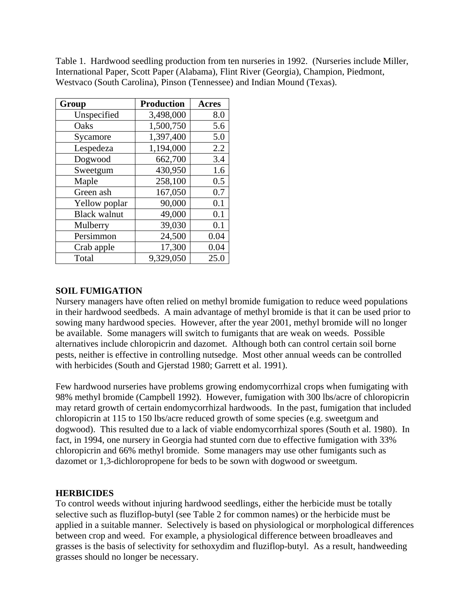Table 1. Hardwood seedling production from ten nurseries in 1992. (Nurseries include Miller, International Paper, Scott Paper (Alabama), Flint River (Georgia), Champion, Piedmont, Westvaco (South Carolina), Pinson (Tennessee) and Indian Mound (Texas).

| Group               | <b>Production</b> | <b>Acres</b> |
|---------------------|-------------------|--------------|
| Unspecified         | 3,498,000         | 8.0          |
| Oaks                | 1,500,750         | 5.6          |
| Sycamore            | 1,397,400         | 5.0          |
| Lespedeza           | 1,194,000         | 2.2          |
| Dogwood             | 662,700           | 3.4          |
| Sweetgum            | 430,950           | 1.6          |
| Maple               | 258,100           | 0.5          |
| Green ash           | 167,050           | 0.7          |
| Yellow poplar       | 90,000            | 0.1          |
| <b>Black walnut</b> | 49,000            | 0.1          |
| Mulberry            | 39,030            | 0.1          |
| Persimmon           | 24,500            | 0.04         |
| Crab apple          | 17,300            | 0.04         |
| Total               | 9,329,050         | 25.0         |

#### **SOIL FUMIGATION**

Nursery managers have often relied on methyl bromide fumigation to reduce weed populations in their hardwood seedbeds. A main advantage of methyl bromide is that it can be used prior to sowing many hardwood species. However, after the year 2001, methyl bromide will no longer be available. Some managers will switch to fumigants that are weak on weeds. Possible alternatives include chloropicrin and dazomet. Although both can control certain soil borne pests, neither is effective in controlling nutsedge. Most other annual weeds can be controlled with herbicides (South and Gjerstad 1980; Garrett et al. 1991).

Few hardwood nurseries have problems growing endomycorrhizal crops when fumigating with 98% methyl bromide (Campbell 1992). However, fumigation with 300 lbs/acre of chloropicrin may retard growth of certain endomycorrhizal hardwoods. In the past, fumigation that included chloropicrin at 115 to 150 lbs/acre reduced growth of some species (e.g. sweetgum and dogwood). This resulted due to a lack of viable endomycorrhizal spores (South et al. 1980). In fact, in 1994, one nursery in Georgia had stunted corn due to effective fumigation with 33% chloropicrin and 66% methyl bromide. Some managers may use other fumigants such as dazomet or 1,3-dichloropropene for beds to be sown with dogwood or sweetgum.

#### **HERBICIDES**

To control weeds without injuring hardwood seedlings, either the herbicide must be totally selective such as fluziflop-butyl (see Table 2 for common names) or the herbicide must be applied in a suitable manner. Selectively is based on physiological or morphological differences between crop and weed. For example, a physiological difference between broadleaves and grasses is the basis of selectivity for sethoxydim and fluziflop-butyl. As a result, handweeding grasses should no longer be necessary.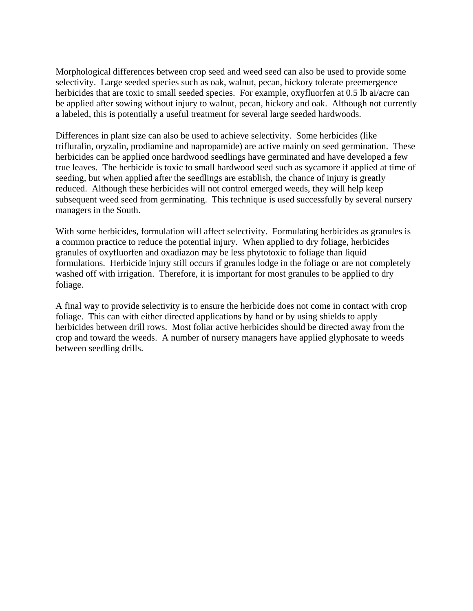Morphological differences between crop seed and weed seed can also be used to provide some selectivity. Large seeded species such as oak, walnut, pecan, hickory tolerate preemergence herbicides that are toxic to small seeded species. For example, oxyfluorfen at 0.5 lb ai/acre can be applied after sowing without injury to walnut, pecan, hickory and oak. Although not currently a labeled, this is potentially a useful treatment for several large seeded hardwoods.

Differences in plant size can also be used to achieve selectivity. Some herbicides (like trifluralin, oryzalin, prodiamine and napropamide) are active mainly on seed germination. These herbicides can be applied once hardwood seedlings have germinated and have developed a few true leaves. The herbicide is toxic to small hardwood seed such as sycamore if applied at time of seeding, but when applied after the seedlings are establish, the chance of injury is greatly reduced. Although these herbicides will not control emerged weeds, they will help keep subsequent weed seed from germinating. This technique is used successfully by several nursery managers in the South.

With some herbicides, formulation will affect selectivity. Formulating herbicides as granules is a common practice to reduce the potential injury. When applied to dry foliage, herbicides granules of oxyfluorfen and oxadiazon may be less phytotoxic to foliage than liquid formulations. Herbicide injury still occurs if granules lodge in the foliage or are not completely washed off with irrigation. Therefore, it is important for most granules to be applied to dry foliage.

A final way to provide selectivity is to ensure the herbicide does not come in contact with crop foliage. This can with either directed applications by hand or by using shields to apply herbicides between drill rows. Most foliar active herbicides should be directed away from the crop and toward the weeds. A number of nursery managers have applied glyphosate to weeds between seedling drills.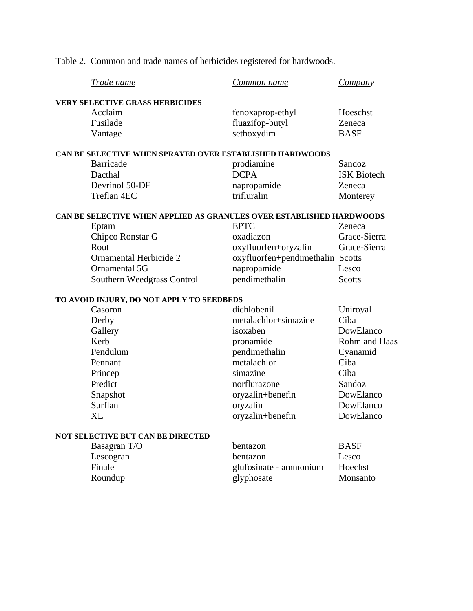Table 2. Common and trade names of herbicides registered for hardwoods.

|                                                                      | Trade name                                               | Common name                      | Company            |  |  |
|----------------------------------------------------------------------|----------------------------------------------------------|----------------------------------|--------------------|--|--|
|                                                                      | <b>VERY SELECTIVE GRASS HERBICIDES</b>                   |                                  |                    |  |  |
|                                                                      | Acclaim                                                  | fenoxaprop-ethyl                 | Hoeschst           |  |  |
|                                                                      | Fusilade                                                 | fluazifop-butyl                  | Zeneca             |  |  |
|                                                                      | Vantage                                                  | sethoxydim                       | <b>BASF</b>        |  |  |
|                                                                      | CAN BE SELECTIVE WHEN SPRAYED OVER ESTABLISHED HARDWOODS |                                  |                    |  |  |
|                                                                      | <b>Barricade</b>                                         | prodiamine                       | Sandoz             |  |  |
|                                                                      | Dacthal                                                  | <b>DCPA</b>                      | <b>ISK Biotech</b> |  |  |
|                                                                      | Devrinol 50-DF                                           | napropamide                      | Zeneca             |  |  |
|                                                                      | Treflan 4EC                                              | trifluralin                      | Monterey           |  |  |
| CAN BE SELECTIVE WHEN APPLIED AS GRANULES OVER ESTABLISHED HARDWOODS |                                                          |                                  |                    |  |  |
|                                                                      | Eptam                                                    | <b>EPTC</b>                      | Zeneca             |  |  |
|                                                                      | Chipco Ronstar G                                         | oxadiazon                        | Grace-Sierra       |  |  |
|                                                                      | Rout                                                     | oxyfluorfen+oryzalin             | Grace-Sierra       |  |  |
|                                                                      | Ornamental Herbicide 2                                   | oxyfluorfen+pendimethalin Scotts |                    |  |  |
|                                                                      | Ornamental 5G                                            | napropamide                      | Lesco              |  |  |
|                                                                      | Southern Weedgrass Control                               | pendimethalin                    | Scotts             |  |  |
| TO AVOID INJURY, DO NOT APPLY TO SEEDBEDS                            |                                                          |                                  |                    |  |  |
|                                                                      | Casoron                                                  | dichlobenil                      | Uniroyal           |  |  |
|                                                                      | Derby                                                    | metalachlor+simazine             | Ciba               |  |  |
|                                                                      | Gallery                                                  | isoxaben                         | DowElanco          |  |  |
|                                                                      | Kerb                                                     | pronamide                        | Rohm and Haas      |  |  |
|                                                                      | Pendulum                                                 | pendimethalin                    | Cyanamid           |  |  |
|                                                                      | Pennant                                                  | metalachlor                      | Ciba               |  |  |
|                                                                      | Princep                                                  | simazine                         | Ciba               |  |  |
|                                                                      | Predict                                                  | norflurazone                     | Sandoz             |  |  |
|                                                                      | Snapshot                                                 | oryzalin+benefin                 | DowElanco          |  |  |
|                                                                      | Surflan                                                  | oryzalin                         | DowElanco          |  |  |
|                                                                      | XL                                                       | oryzalin+benefin                 | DowElanco          |  |  |
| NOT SELECTIVE BUT CAN BE DIRECTED                                    |                                                          |                                  |                    |  |  |
|                                                                      | Basagran T/O                                             | bentazon                         | <b>BASF</b>        |  |  |
|                                                                      | Lescogran                                                | bentazon                         | Lesco              |  |  |
|                                                                      | Finale                                                   | glufosinate - ammonium           | Hoechst            |  |  |
|                                                                      | Roundup                                                  | glyphosate                       | Monsanto           |  |  |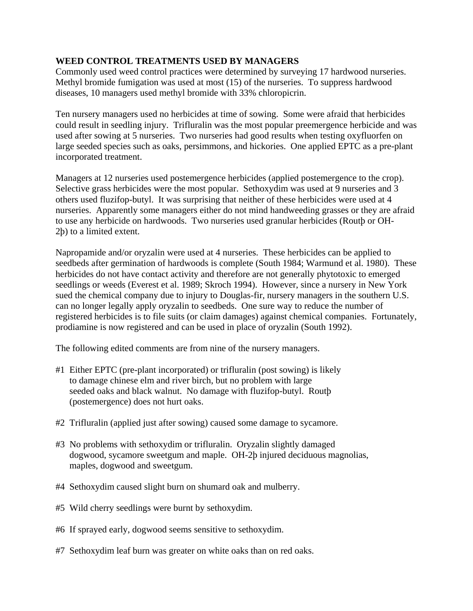### **WEED CONTROL TREATMENTS USED BY MANAGERS**

Commonly used weed control practices were determined by surveying 17 hardwood nurseries. Methyl bromide fumigation was used at most (15) of the nurseries. To suppress hardwood diseases, 10 managers used methyl bromide with 33% chloropicrin.

Ten nursery managers used no herbicides at time of sowing. Some were afraid that herbicides could result in seedling injury. Trifluralin was the most popular preemergence herbicide and was used after sowing at 5 nurseries. Two nurseries had good results when testing oxyfluorfen on large seeded species such as oaks, persimmons, and hickories. One applied EPTC as a pre-plant incorporated treatment.

Managers at 12 nurseries used postemergence herbicides (applied postemergence to the crop). Selective grass herbicides were the most popular. Sethoxydim was used at 9 nurseries and 3 others used fluzifop-butyl. It was surprising that neither of these herbicides were used at 4 nurseries. Apparently some managers either do not mind handweeding grasses or they are afraid to use any herbicide on hardwoods. Two nurseries used granular herbicides (Routþ or OH-2þ) to a limited extent.

Napropamide and/or oryzalin were used at 4 nurseries. These herbicides can be applied to seedbeds after germination of hardwoods is complete (South 1984; Warmund et al. 1980). These herbicides do not have contact activity and therefore are not generally phytotoxic to emerged seedlings or weeds (Everest et al. 1989; Skroch 1994). However, since a nursery in New York sued the chemical company due to injury to Douglas-fir, nursery managers in the southern U.S. can no longer legally apply oryzalin to seedbeds. One sure way to reduce the number of registered herbicides is to file suits (or claim damages) against chemical companies. Fortunately, prodiamine is now registered and can be used in place of oryzalin (South 1992).

The following edited comments are from nine of the nursery managers.

- #1 Either EPTC (pre-plant incorporated) or trifluralin (post sowing) is likely to damage chinese elm and river birch, but no problem with large seeded oaks and black walnut. No damage with fluzifop-butyl. Routþ (postemergence) does not hurt oaks.
- #2 Trifluralin (applied just after sowing) caused some damage to sycamore.
- #3 No problems with sethoxydim or trifluralin. Oryzalin slightly damaged dogwood, sycamore sweetgum and maple. OH-2þ injured deciduous magnolias, maples, dogwood and sweetgum.
- #4 Sethoxydim caused slight burn on shumard oak and mulberry.
- #5 Wild cherry seedlings were burnt by sethoxydim.
- #6 If sprayed early, dogwood seems sensitive to sethoxydim.
- #7 Sethoxydim leaf burn was greater on white oaks than on red oaks.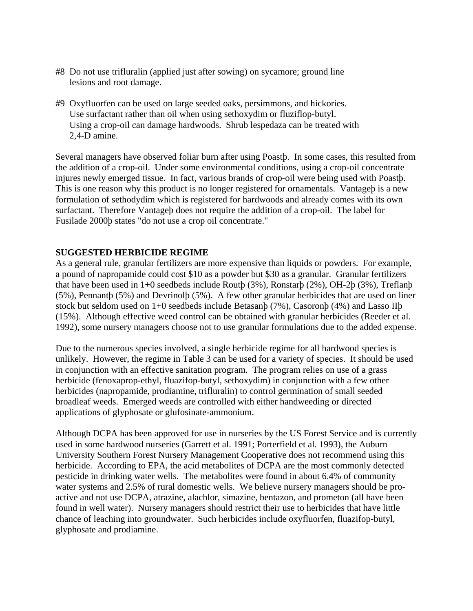- #8 Do not use trifluralin (applied just after sowing) on sycamore; ground line lesions and root damage.
- #9 Oxyfluorfen can be used on large seeded oaks, persimmons, and hickories. Use surfactant rather than oil when using sethoxydim or fluziflop-butyl. Using a crop-oil can damage hardwoods. Shrub lespedaza can be treated with 2,4-D amine.

Several managers have observed foliar burn after using Poastþ. In some cases, this resulted from the addition of a crop-oil. Under some environmental conditions, using a crop-oil concentrate injures newly emerged tissue. In fact, various brands of crop-oil were being used with Poastþ. This is one reason why this product is no longer registered for ornamentals. Vantageþ is a new formulation of sethodydim which is registered for hardwoods and already comes with its own surfactant. Therefore Vantageþ does not require the addition of a crop-oil. The label for Fusilade 2000þ states "do not use a crop oil concentrate."

### **SUGGESTED HERBICIDE REGIME**

As a general rule, granular fertilizers are more expensive than liquids or powders. For example, a pound of napropamide could cost \$10 as a powder but \$30 as a granular. Granular fertilizers that have been used in 1+0 seedbeds include Routþ (3%), Ronstarþ (2%), OH-2þ (3%), Treflanþ (5%), Pennantþ (5%) and Devrinolþ (5%). A few other granular herbicides that are used on liner stock but seldom used on 1+0 seedbeds include Betasanþ (7%), Casoronþ (4%) and Lasso IIþ (15%). Although effective weed control can be obtained with granular herbicides (Reeder et al. 1992), some nursery managers choose not to use granular formulations due to the added expense.

Due to the numerous species involved, a single herbicide regime for all hardwood species is unlikely. However, the regime in Table 3 can be used for a variety of species. It should be used in conjunction with an effective sanitation program. The program relies on use of a grass herbicide (fenoxaprop-ethyl, fluazifop-butyl, sethoxydim) in conjunction with a few other herbicides (napropamide, prodiamine, trifluralin) to control germination of small seeded broadleaf weeds. Emerged weeds are controlled with either handweeding or directed applications of glyphosate or glufosinate-ammonium.

Although DCPA has been approved for use in nurseries by the US Forest Service and is currently used in some hardwood nurseries (Garrett et al. 1991; Porterfield et al. 1993), the Auburn University Southern Forest Nursery Management Cooperative does not recommend using this herbicide. According to EPA, the acid metabolites of DCPA are the most commonly detected pesticide in drinking water wells. The metabolites were found in about 6.4% of community water systems and 2.5% of rural domestic wells. We believe nursery managers should be proactive and not use DCPA, atrazine, alachlor, simazine, bentazon, and prometon (all have been found in well water). Nursery managers should restrict their use to herbicides that have little chance of leaching into groundwater. Such herbicides include oxyfluorfen, fluazifop-butyl, glyphosate and prodiamine.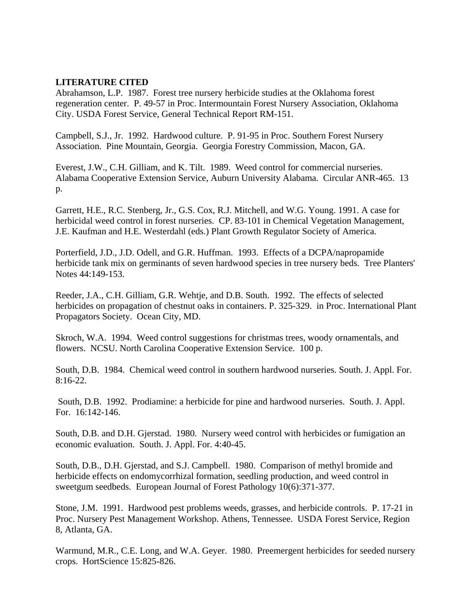### **LITERATURE CITED**

Abrahamson, L.P. 1987. Forest tree nursery herbicide studies at the Oklahoma forest regeneration center. P. 49-57 in Proc. Intermountain Forest Nursery Association, Oklahoma City. USDA Forest Service, General Technical Report RM-151.

Campbell, S.J., Jr. 1992. Hardwood culture. P. 91-95 in Proc. Southern Forest Nursery Association. Pine Mountain, Georgia. Georgia Forestry Commission, Macon, GA.

Everest, J.W., C.H. Gilliam, and K. Tilt. 1989. Weed control for commercial nurseries. Alabama Cooperative Extension Service, Auburn University Alabama. Circular ANR-465. 13 p.

Garrett, H.E., R.C. Stenberg, Jr., G.S. Cox, R.J. Mitchell, and W.G. Young. 1991. A case for herbicidal weed control in forest nurseries. CP. 83-101 in Chemical Vegetation Management, J.E. Kaufman and H.E. Westerdahl (eds.) Plant Growth Regulator Society of America.

Porterfield, J.D., J.D. Odell, and G.R. Huffman. 1993. Effects of a DCPA/napropamide herbicide tank mix on germinants of seven hardwood species in tree nursery beds. Tree Planters' Notes 44:149-153.

Reeder, J.A., C.H. Gilliam, G.R. Wehtje, and D.B. South. 1992. The effects of selected herbicides on propagation of chestnut oaks in containers. P. 325-329. in Proc. International Plant Propagators Society. Ocean City, MD.

Skroch, W.A. 1994. Weed control suggestions for christmas trees, woody ornamentals, and flowers. NCSU. North Carolina Cooperative Extension Service. 100 p.

South, D.B. 1984. Chemical weed control in southern hardwood nurseries. South. J. Appl. For. 8:16-22.

 South, D.B. 1992. Prodiamine: a herbicide for pine and hardwood nurseries. South. J. Appl. For. 16:142-146.

South, D.B. and D.H. Gjerstad. 1980. Nursery weed control with herbicides or fumigation an economic evaluation. South. J. Appl. For. 4:40-45.

South, D.B., D.H. Gjerstad, and S.J. Campbell. 1980. Comparison of methyl bromide and herbicide effects on endomycorrhizal formation, seedling production, and weed control in sweetgum seedbeds. European Journal of Forest Pathology 10(6):371-377.

Stone, J.M. 1991. Hardwood pest problems weeds, grasses, and herbicide controls. P. 17-21 in Proc. Nursery Pest Management Workshop. Athens, Tennessee. USDA Forest Service, Region 8, Atlanta, GA.

Warmund, M.R., C.E. Long, and W.A. Geyer. 1980. Preemergent herbicides for seeded nursery crops. HortScience 15:825-826.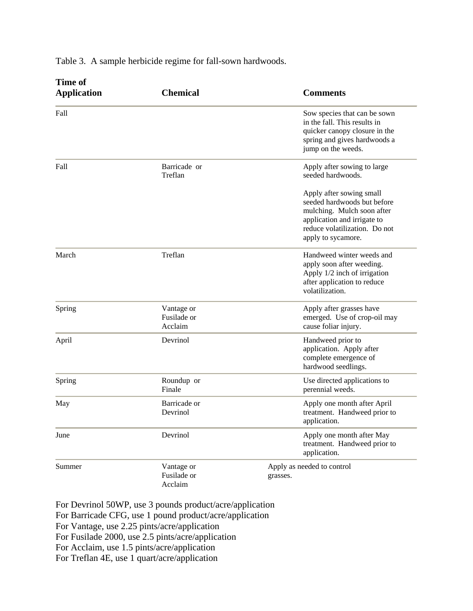| <b>Time of</b><br><b>Application</b> | <b>Chemical</b>                      | <b>Comments</b>                                                                                                                                                             |  |
|--------------------------------------|--------------------------------------|-----------------------------------------------------------------------------------------------------------------------------------------------------------------------------|--|
| Fall                                 |                                      | Sow species that can be sown<br>in the fall. This results in<br>quicker canopy closure in the<br>spring and gives hardwoods a<br>jump on the weeds.                         |  |
| Fall                                 | Barricade or<br>Treflan              | Apply after sowing to large<br>seeded hardwoods.                                                                                                                            |  |
|                                      |                                      | Apply after sowing small<br>seeded hardwoods but before<br>mulching. Mulch soon after<br>application and irrigate to<br>reduce volatilization. Do not<br>apply to sycamore. |  |
| March                                | Treflan                              | Handweed winter weeds and<br>apply soon after weeding.<br>Apply 1/2 inch of irrigation<br>after application to reduce<br>volatilization.                                    |  |
| Spring                               | Vantage or<br>Fusilade or<br>Acclaim | Apply after grasses have<br>emerged. Use of crop-oil may<br>cause foliar injury.                                                                                            |  |
| April                                | Devrinol                             | Handweed prior to<br>application. Apply after<br>complete emergence of<br>hardwood seedlings.                                                                               |  |
| Spring                               | Roundup or<br>Finale                 | Use directed applications to<br>perennial weeds.                                                                                                                            |  |
| May                                  | Barricade or<br>Devrinol             | Apply one month after April<br>treatment. Handweed prior to<br>application.                                                                                                 |  |
| June                                 | Devrinol                             | Apply one month after May<br>treatment. Handweed prior to<br>application.                                                                                                   |  |
| Summer                               | Vantage or<br>Fusilade or<br>Acclaim | Apply as needed to control<br>grasses.                                                                                                                                      |  |

Table 3. A sample herbicide regime for fall-sown hardwoods.

For Devrinol 50WP, use 3 pounds product/acre/application For Barricade CFG, use 1 pound product/acre/application For Vantage, use 2.25 pints/acre/application For Fusilade 2000, use 2.5 pints/acre/application For Acclaim, use 1.5 pints/acre/application For Treflan 4E, use 1 quart/acre/application